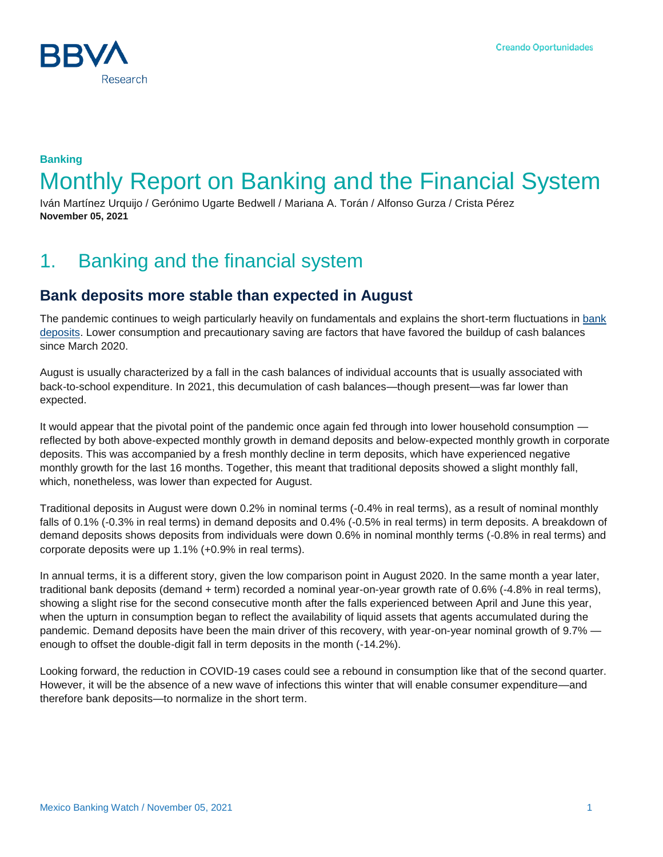

## **Banking** Monthly Report on Banking and the Financial System

Iván Martínez Urquijo / Gerónimo Ugarte Bedwell / Mariana A. Torán / Alfonso Gurza / Crista Pérez **November 05, 2021**

## 1. Banking and the financial system

#### **Bank deposits more stable than expected in August**

The pandemic continues to weigh particularly heavily on fundamentals and explains the short-term fluctuations in [bank](https://www.bbvaresearch.com/publicaciones/mexico-captacion-bancaria-con-solidez-mayor-a-la-esperada-en-agosto/)  [deposits.](https://www.bbvaresearch.com/publicaciones/mexico-captacion-bancaria-con-solidez-mayor-a-la-esperada-en-agosto/) Lower consumption and precautionary saving are factors that have favored the buildup of cash balances since March 2020.

August is usually characterized by a fall in the cash balances of individual accounts that is usually associated with back-to-school expenditure. In 2021, this decumulation of cash balances—though present—was far lower than expected.

It would appear that the pivotal point of the pandemic once again fed through into lower household consumption reflected by both above-expected monthly growth in demand deposits and below-expected monthly growth in corporate deposits. This was accompanied by a fresh monthly decline in term deposits, which have experienced negative monthly growth for the last 16 months. Together, this meant that traditional deposits showed a slight monthly fall, which, nonetheless, was lower than expected for August.

Traditional deposits in August were down 0.2% in nominal terms (-0.4% in real terms), as a result of nominal monthly falls of 0.1% (-0.3% in real terms) in demand deposits and 0.4% (-0.5% in real terms) in term deposits. A breakdown of demand deposits shows deposits from individuals were down 0.6% in nominal monthly terms (-0.8% in real terms) and corporate deposits were up 1.1% (+0.9% in real terms).

In annual terms, it is a different story, given the low comparison point in August 2020. In the same month a year later, traditional bank deposits (demand + term) recorded a nominal year-on-year growth rate of 0.6% (-4.8% in real terms), showing a slight rise for the second consecutive month after the falls experienced between April and June this year, when the upturn in consumption began to reflect the availability of liquid assets that agents accumulated during the pandemic. Demand deposits have been the main driver of this recovery, with year-on-year nominal growth of 9.7% enough to offset the double-digit fall in term deposits in the month (-14.2%).

Looking forward, the reduction in COVID-19 cases could see a rebound in consumption like that of the second quarter. However, it will be the absence of a new wave of infections this winter that will enable consumer expenditure—and therefore bank deposits—to normalize in the short term.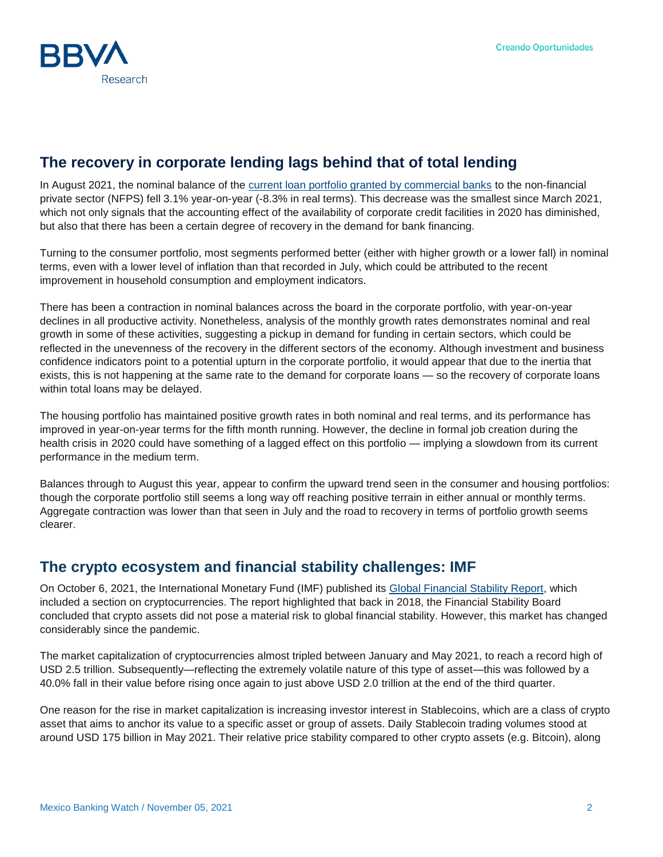

### **The recovery in corporate lending lags behind that of total lending**

In August 2021, the nominal balance of the [current loan portfolio granted by commercial banks](https://www.bbvaresearch.com/publicaciones/mexico-credito-a-empresas-rezaga-recuperacion-del-credito-total-que-en-agosto-cayo-31/) to the non-financial private sector (NFPS) fell 3.1% year-on-year (-8.3% in real terms). This decrease was the smallest since March 2021, which not only signals that the accounting effect of the availability of corporate credit facilities in 2020 has diminished, but also that there has been a certain degree of recovery in the demand for bank financing.

Turning to the consumer portfolio, most segments performed better (either with higher growth or a lower fall) in nominal terms, even with a lower level of inflation than that recorded in July, which could be attributed to the recent improvement in household consumption and employment indicators.

There has been a contraction in nominal balances across the board in the corporate portfolio, with year-on-year declines in all productive activity. Nonetheless, analysis of the monthly growth rates demonstrates nominal and real growth in some of these activities, suggesting a pickup in demand for funding in certain sectors, which could be reflected in the unevenness of the recovery in the different sectors of the economy. Although investment and business confidence indicators point to a potential upturn in the corporate portfolio, it would appear that due to the inertia that exists, this is not happening at the same rate to the demand for corporate loans — so the recovery of corporate loans within total loans may be delayed.

The housing portfolio has maintained positive growth rates in both nominal and real terms, and its performance has improved in year-on-year terms for the fifth month running. However, the decline in formal job creation during the health crisis in 2020 could have something of a lagged effect on this portfolio — implying a slowdown from its current performance in the medium term.

Balances through to August this year, appear to confirm the upward trend seen in the consumer and housing portfolios: though the corporate portfolio still seems a long way off reaching positive terrain in either annual or monthly terms. Aggregate contraction was lower than that seen in July and the road to recovery in terms of portfolio growth seems clearer.

#### **The crypto ecosystem and financial stability challenges: IMF**

On October 6, 2021, the International Monetary Fund (IMF) published its [Global Financial Stability Report,](https://www.imf.org/en/Publications/GFSR/Issues/2021/10/12/global-financial-stability-report-october-2021) which included a section on cryptocurrencies. The report highlighted that back in 2018, the Financial Stability Board concluded that crypto assets did not pose a material risk to global financial stability. However, this market has changed considerably since the pandemic.

The market capitalization of cryptocurrencies almost tripled between January and May 2021, to reach a record high of USD 2.5 trillion. Subsequently—reflecting the extremely volatile nature of this type of asset—this was followed by a 40.0% fall in their value before rising once again to just above USD 2.0 trillion at the end of the third quarter.

One reason for the rise in market capitalization is increasing investor interest in Stablecoins, which are a class of crypto asset that aims to anchor its value to a specific asset or group of assets. Daily Stablecoin trading volumes stood at around USD 175 billion in May 2021. Their relative price stability compared to other crypto assets (e.g. Bitcoin), along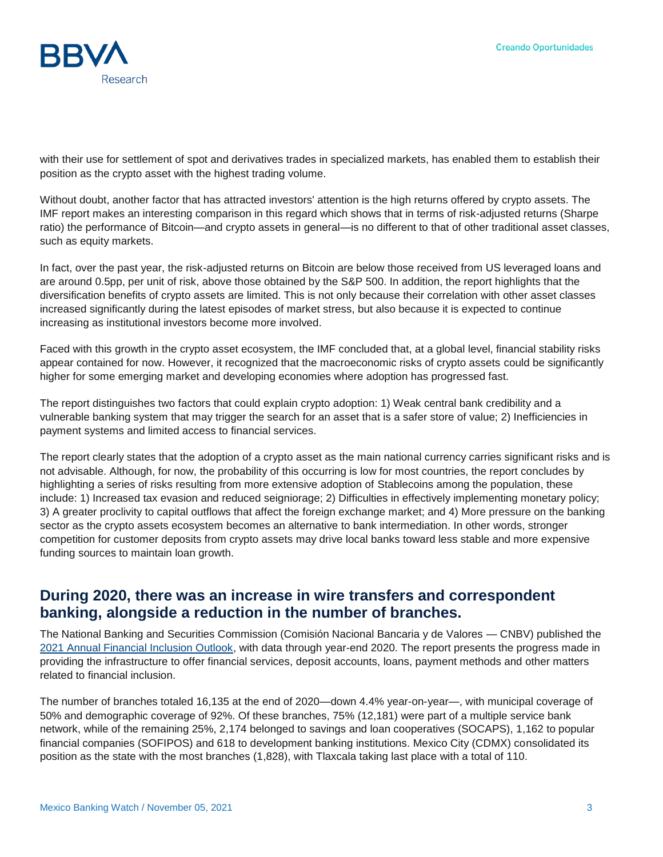

with their use for settlement of spot and derivatives trades in specialized markets, has enabled them to establish their position as the crypto asset with the highest trading volume.

Without doubt, another factor that has attracted investors' attention is the high returns offered by crypto assets. The IMF report makes an interesting comparison in this regard which shows that in terms of risk-adjusted returns (Sharpe ratio) the performance of Bitcoin—and crypto assets in general—is no different to that of other traditional asset classes, such as equity markets.

In fact, over the past year, the risk-adjusted returns on Bitcoin are below those received from US leveraged loans and are around 0.5pp, per unit of risk, above those obtained by the S&P 500. In addition, the report highlights that the diversification benefits of crypto assets are limited. This is not only because their correlation with other asset classes increased significantly during the latest episodes of market stress, but also because it is expected to continue increasing as institutional investors become more involved.

Faced with this growth in the crypto asset ecosystem, the IMF concluded that, at a global level, financial stability risks appear contained for now. However, it recognized that the macroeconomic risks of crypto assets could be significantly higher for some emerging market and developing economies where adoption has progressed fast.

The report distinguishes two factors that could explain crypto adoption: 1) Weak central bank credibility and a vulnerable banking system that may trigger the search for an asset that is a safer store of value; 2) Inefficiencies in payment systems and limited access to financial services.

The report clearly states that the adoption of a crypto asset as the main national currency carries significant risks and is not advisable. Although, for now, the probability of this occurring is low for most countries, the report concludes by highlighting a series of risks resulting from more extensive adoption of Stablecoins among the population, these include: 1) Increased tax evasion and reduced seigniorage; 2) Difficulties in effectively implementing monetary policy; 3) A greater proclivity to capital outflows that affect the foreign exchange market; and 4) More pressure on the banking sector as the crypto assets ecosystem becomes an alternative to bank intermediation. In other words, stronger competition for customer deposits from crypto assets may drive local banks toward less stable and more expensive funding sources to maintain loan growth.

#### **During 2020, there was an increase in wire transfers and correspondent banking, alongside a reduction in the number of branches.**

The National Banking and Securities Commission (Comisión Nacional Bancaria y de Valores — CNBV) published the [2021 Annual Financial Inclusion Outlook,](https://www.cnbv.gob.mx/Inclusi%c3%b3n/Anexos%20Inclusin%20Financiera/Panorama_IF_2021.pdf) with data through year-end 2020. The report presents the progress made in providing the infrastructure to offer financial services, deposit accounts, loans, payment methods and other matters related to financial inclusion.

The number of branches totaled 16,135 at the end of 2020—down 4.4% year-on-year—, with municipal coverage of 50% and demographic coverage of 92%. Of these branches, 75% (12,181) were part of a multiple service bank network, while of the remaining 25%, 2,174 belonged to savings and loan cooperatives (SOCAPS), 1,162 to popular financial companies (SOFIPOS) and 618 to development banking institutions. Mexico City (CDMX) consolidated its position as the state with the most branches (1,828), with Tlaxcala taking last place with a total of 110.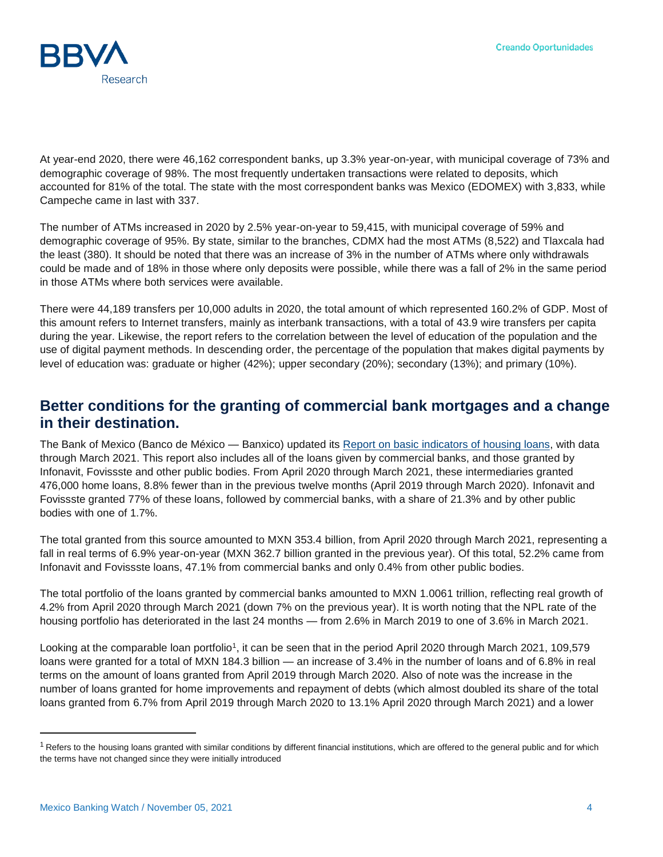

At year-end 2020, there were 46,162 correspondent banks, up 3.3% year-on-year, with municipal coverage of 73% and demographic coverage of 98%. The most frequently undertaken transactions were related to deposits, which accounted for 81% of the total. The state with the most correspondent banks was Mexico (EDOMEX) with 3,833, while Campeche came in last with 337.

The number of ATMs increased in 2020 by 2.5% year-on-year to 59,415, with municipal coverage of 59% and demographic coverage of 95%. By state, similar to the branches, CDMX had the most ATMs (8,522) and Tlaxcala had the least (380). It should be noted that there was an increase of 3% in the number of ATMs where only withdrawals could be made and of 18% in those where only deposits were possible, while there was a fall of 2% in the same period in those ATMs where both services were available.

There were 44,189 transfers per 10,000 adults in 2020, the total amount of which represented 160.2% of GDP. Most of this amount refers to Internet transfers, mainly as interbank transactions, with a total of 43.9 wire transfers per capita during the year. Likewise, the report refers to the correlation between the level of education of the population and the use of digital payment methods. In descending order, the percentage of the population that makes digital payments by level of education was: graduate or higher (42%); upper secondary (20%); secondary (13%); and primary (10%).

#### **Better conditions for the granting of commercial bank mortgages and a change in their destination.**

The Bank of Mexico (Banco de México — Banxico) updated its [Report on basic indicators of housing loans,](https://www.banxico.org.mx/publicaciones-y-prensa/rib-creditos-a-la-vivienda/%7b32CF1908-262C-08CE-23D6-3A20E85056EB%7d.pdf) with data through March 2021. This report also includes all of the loans given by commercial banks, and those granted by Infonavit, Fovissste and other public bodies. From April 2020 through March 2021, these intermediaries granted 476,000 home loans, 8.8% fewer than in the previous twelve months (April 2019 through March 2020). Infonavit and Fovissste granted 77% of these loans, followed by commercial banks, with a share of 21.3% and by other public bodies with one of 1.7%.

The total granted from this source amounted to MXN 353.4 billion, from April 2020 through March 2021, representing a fall in real terms of 6.9% year-on-year (MXN 362.7 billion granted in the previous year). Of this total, 52.2% came from Infonavit and Fovissste loans, 47.1% from commercial banks and only 0.4% from other public bodies.

The total portfolio of the loans granted by commercial banks amounted to MXN 1.0061 trillion, reflecting real growth of 4.2% from April 2020 through March 2021 (down 7% on the previous year). It is worth noting that the NPL rate of the housing portfolio has deteriorated in the last 24 months — from 2.6% in March 2019 to one of 3.6% in March 2021.

Looking at the comparable loan portfolio<sup>1</sup>, it can be seen that in the period April 2020 through March 2021, 109,579 loans were granted for a total of MXN 184.3 billion — an increase of 3.4% in the number of loans and of 6.8% in real terms on the amount of loans granted from April 2019 through March 2020. Also of note was the increase in the number of loans granted for home improvements and repayment of debts (which almost doubled its share of the total loans granted from 6.7% from April 2019 through March 2020 to 13.1% April 2020 through March 2021) and a lower

l

<sup>&</sup>lt;sup>1</sup> Refers to the housing loans granted with similar conditions by different financial institutions, which are offered to the general public and for which the terms have not changed since they were initially introduced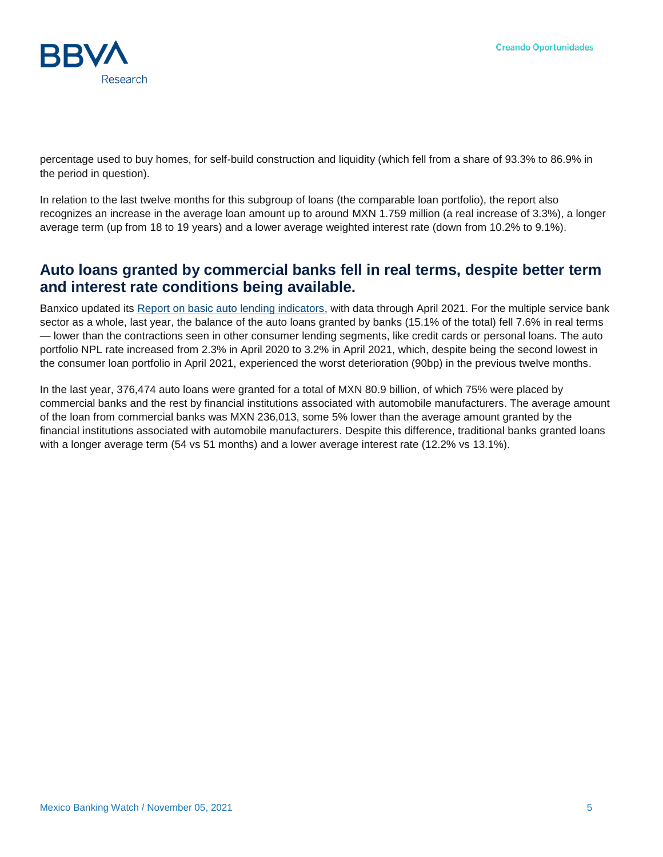

percentage used to buy homes, for self-build construction and liquidity (which fell from a share of 93.3% to 86.9% in the period in question).

In relation to the last twelve months for this subgroup of loans (the comparable loan portfolio), the report also recognizes an increase in the average loan amount up to around MXN 1.759 million (a real increase of 3.3%), a longer average term (up from 18 to 19 years) and a lower average weighted interest rate (down from 10.2% to 9.1%).

#### **Auto loans granted by commercial banks fell in real terms, despite better term and interest rate conditions being available.**

Banxico updated its [Report on basic auto lending indicators,](https://www.banxico.org.mx/publicaciones-y-prensa/rib-creditos-automotrices/%7b95AEA148-02A5-FE45-4C8C-0FAAB2183319%7d.pdf) with data through April 2021. For the multiple service bank sector as a whole, last year, the balance of the auto loans granted by banks (15.1% of the total) fell 7.6% in real terms — lower than the contractions seen in other consumer lending segments, like credit cards or personal loans. The auto portfolio NPL rate increased from 2.3% in April 2020 to 3.2% in April 2021, which, despite being the second lowest in the consumer loan portfolio in April 2021, experienced the worst deterioration (90bp) in the previous twelve months.

In the last year, 376,474 auto loans were granted for a total of MXN 80.9 billion, of which 75% were placed by commercial banks and the rest by financial institutions associated with automobile manufacturers. The average amount of the loan from commercial banks was MXN 236,013, some 5% lower than the average amount granted by the financial institutions associated with automobile manufacturers. Despite this difference, traditional banks granted loans with a longer average term (54 vs 51 months) and a lower average interest rate (12.2% vs 13.1%).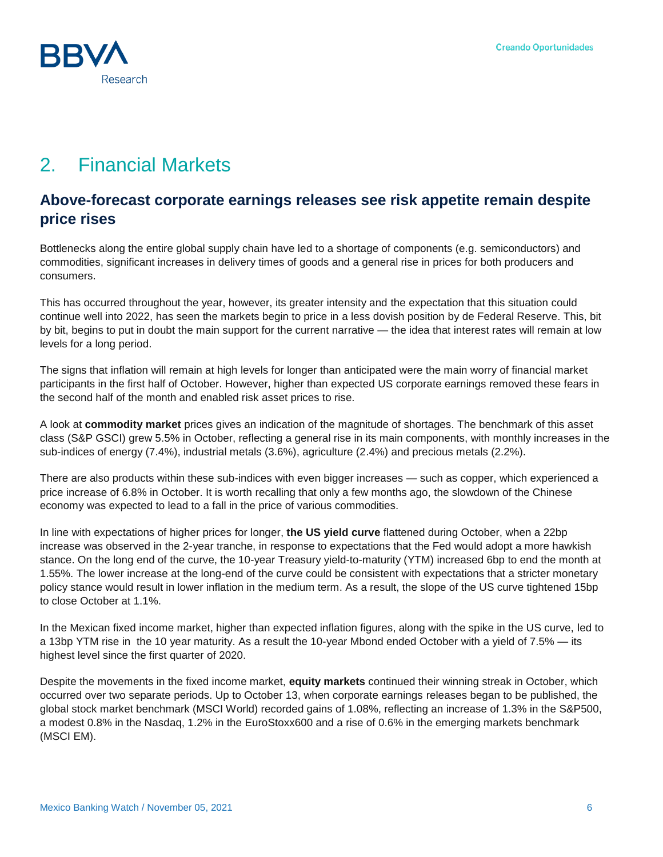# 2. Financial Markets

#### **Above-forecast corporate earnings releases see risk appetite remain despite price rises**

Bottlenecks along the entire global supply chain have led to a shortage of components (e.g. semiconductors) and commodities, significant increases in delivery times of goods and a general rise in prices for both producers and consumers.

This has occurred throughout the year, however, its greater intensity and the expectation that this situation could continue well into 2022, has seen the markets begin to price in a less dovish position by de Federal Reserve. This, bit by bit, begins to put in doubt the main support for the current narrative — the idea that interest rates will remain at low levels for a long period.

The signs that inflation will remain at high levels for longer than anticipated were the main worry of financial market participants in the first half of October. However, higher than expected US corporate earnings removed these fears in the second half of the month and enabled risk asset prices to rise.

A look at **commodity market** prices gives an indication of the magnitude of shortages. The benchmark of this asset class (S&P GSCI) grew 5.5% in October, reflecting a general rise in its main components, with monthly increases in the sub-indices of energy (7.4%), industrial metals (3.6%), agriculture (2.4%) and precious metals (2.2%).

There are also products within these sub-indices with even bigger increases — such as copper, which experienced a price increase of 6.8% in October. It is worth recalling that only a few months ago, the slowdown of the Chinese economy was expected to lead to a fall in the price of various commodities.

In line with expectations of higher prices for longer, **the US yield curve** flattened during October, when a 22bp increase was observed in the 2-year tranche, in response to expectations that the Fed would adopt a more hawkish stance. On the long end of the curve, the 10-year Treasury yield-to-maturity (YTM) increased 6bp to end the month at 1.55%. The lower increase at the long-end of the curve could be consistent with expectations that a stricter monetary policy stance would result in lower inflation in the medium term. As a result, the slope of the US curve tightened 15bp to close October at 1.1%.

In the Mexican fixed income market, higher than expected inflation figures, along with the spike in the US curve, led to a 13bp YTM rise in the 10 year maturity. As a result the 10-year Mbond ended October with a yield of 7.5% — its highest level since the first quarter of 2020.

Despite the movements in the fixed income market, **equity markets** continued their winning streak in October, which occurred over two separate periods. Up to October 13, when corporate earnings releases began to be published, the global stock market benchmark (MSCI World) recorded gains of 1.08%, reflecting an increase of 1.3% in the S&P500, a modest 0.8% in the Nasdaq, 1.2% in the EuroStoxx600 and a rise of 0.6% in the emerging markets benchmark (MSCI EM).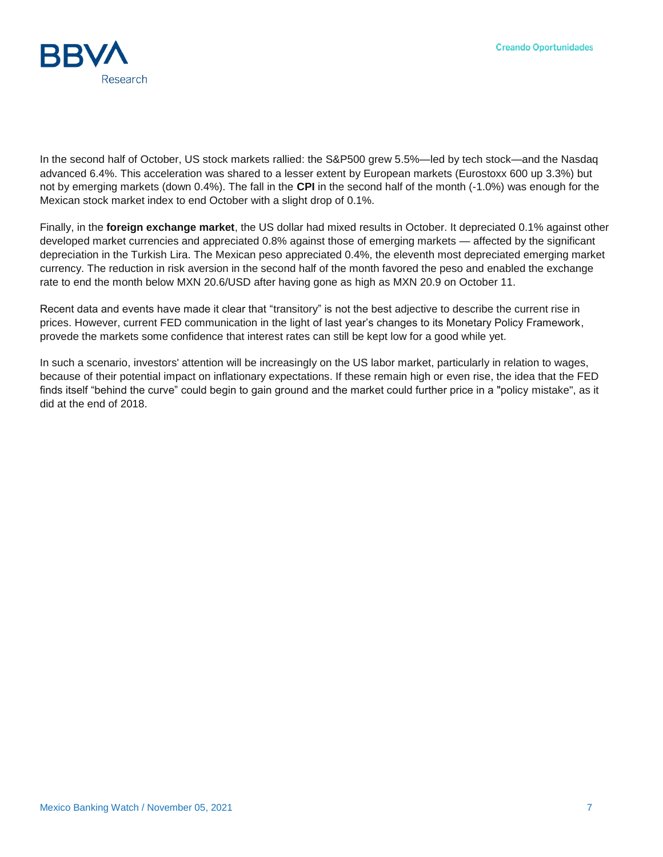

In the second half of October, US stock markets rallied: the S&P500 grew 5.5%—led by tech stock—and the Nasdaq advanced 6.4%. This acceleration was shared to a lesser extent by European markets (Eurostoxx 600 up 3.3%) but not by emerging markets (down 0.4%). The fall in the **CPI** in the second half of the month (-1.0%) was enough for the Mexican stock market index to end October with a slight drop of 0.1%.

Finally, in the **foreign exchange market**, the US dollar had mixed results in October. It depreciated 0.1% against other developed market currencies and appreciated 0.8% against those of emerging markets — affected by the significant depreciation in the Turkish Lira. The Mexican peso appreciated 0.4%, the eleventh most depreciated emerging market currency. The reduction in risk aversion in the second half of the month favored the peso and enabled the exchange rate to end the month below MXN 20.6/USD after having gone as high as MXN 20.9 on October 11.

Recent data and events have made it clear that "transitory" is not the best adjective to describe the current rise in prices. However, current FED communication in the light of last year's changes to its Monetary Policy Framework, provede the markets some confidence that interest rates can still be kept low for a good while yet.

In such a scenario, investors' attention will be increasingly on the US labor market, particularly in relation to wages, because of their potential impact on inflationary expectations. If these remain high or even rise, the idea that the FED finds itself "behind the curve" could begin to gain ground and the market could further price in a "policy mistake", as it did at the end of 2018.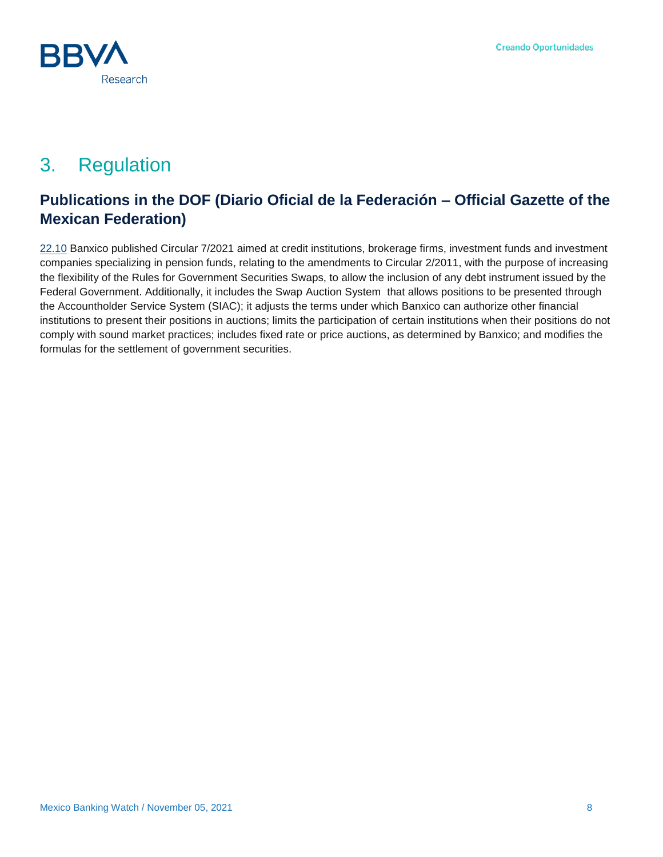

# 3. Regulation

### **Publications in the DOF (Diario Oficial de la Federación – Official Gazette of the Mexican Federation)**

[22.10](http://dof.gob.mx/nota_detalle.php?codigo=5633533&fecha=22/10/2021) Banxico published Circular 7/2021 aimed at credit institutions, brokerage firms, investment funds and investment companies specializing in pension funds, relating to the amendments to Circular 2/2011, with the purpose of increasing the flexibility of the Rules for Government Securities Swaps, to allow the inclusion of any debt instrument issued by the Federal Government. Additionally, it includes the Swap Auction System that allows positions to be presented through the Accountholder Service System (SIAC); it adjusts the terms under which Banxico can authorize other financial institutions to present their positions in auctions; limits the participation of certain institutions when their positions do not comply with sound market practices; includes fixed rate or price auctions, as determined by Banxico; and modifies the formulas for the settlement of government securities.